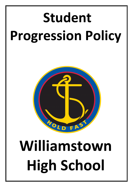# **Student Progression Policy**



# **Williamstown High School**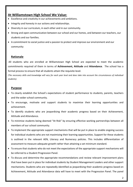# **At Williamstown High School We Value:**

- Excellence and creativity in our achievements and ambitions.
- Integrity and honesty in our actions and relationships.
- Diversity in our curriculum, in each other and in our community.
- Strong and open communication between our school and our homes, and between our teachers, our students and our families.
- A commitment to social justice and a passion to protect and improve our environment and our community

# **Rationale**

All students who are enrolled at Williamstown High School are expected to meet the academic commitments required of them in terms of **Achievement, Attitude** and **Attendance**. The school has a formal process to ensure that all students attain the requisite level.

*(The necessary skills and knowledge will vary for each year level and does take into account the circumstances of individual students).*

#### **Purpose**

- To clearly establish the School's expectations of student performance to students, parents, teachers and the wider school community.
- To encourage, motivate and support students to maximise their learning opportunities and achievement.
- To identify students who are jeopardising their academic progress based on their Achievement, Attitude and Attendance.
- To minimise students being deemed "At Risk" by ensuring effective working partnerships between all members of our school community.
- To implement the appropriate support mechanisms that will be put in place to enable ongoing success for individual students who are not maximising their learning opportunities. Support for these students is outlined in the relevant AEN, Literacy and Numeracy policies. This includes differentiation of assessment to measure adequate growth rather than attaining a set minimum standard.
- To ensure that students who do not meet the expectations of the appropriate support mechanisms will be referred to a Student Progression Panel.
- To discuss and determine the appropriate recommendations and review relevant improvement plans that have been put in place for individual students by Student Management Leaders and other support mechanisms. Students who are repeatedly identified as jeopardising their academic progress based on Achievement, Attitude and Attendance data will have to meet with the Progression Panel. The panel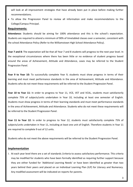will look at all improvement strategies that have already been put in place before making further recommendations.

• To allow the Progression Panel to review all information and make recommendations to the College/Campus Principal.

#### **Requirements:**

**Attendance:** Students should be aiming for 100% attendance and this is the school's expectation. Students are required to attend a minimum of 90% of timetabled classes over a semester, consistent with the school Attendance Policy (Refer to the Williamstown High School Attendance Policy).

**Year 7 and 8:** The expectation will be that all Year 7 and 8 students will progress to the next year level. In the exceptional circumstances where there has been little or no evidence of student progress based around the areas of Achievement, Attitude and Attendance, cases may be referred to the Student Progression Panel.

**Year 9 to Year 10:** To successfully complete Year 9, students must show progress in terms of their learning and must meet performance standards in the area of Achievement, Attitude and Attendance. Students who do not meet these requirements will be referred to the Student Progression Panel.

**Year 10 to Year 11:** In order to progress to Year 11, VCE, VET and VCAL, students must satisfactorily complete 75% of subjects/units undertaken in Year 10, including at least one semester of English. Students must show progress in terms of their learning standards and must meet performance standards in the area of Achievement, Attitude and Attendance. Students who do not meet these requirements will be referred to the Student Progression Panel.

**Year 11 to Year 12:** In order to progress to Year 12, students must satisfactorily complete 75% of subjects/units undertaken in Year 11, including at least one unit of English. Therefore students in Year 11 are required to complete 9 out of 12 units.

Students who do not meet the above requirements will be referred to the Student Progression Panel.

# **Implementation**

I. At each year level there are a set of standards /criteria to assess satisfactory performance. This criteria may be modified for students who have been formally identified as requiring further support because they are either funded for 'Additional Learning Needs' or have been identified as greater than two years behind their peers and placed on an Individual Learning Plan (ILP) for Literacy and Numeracy. Any modified assessment will be indicated on reports for parents.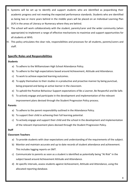- II. Systems will be set up to identify and support students who are identified as jeopardising their academic progress and not meeting the expected performance standards. Students who are identified as being two or more years behind in the middle years will be placed on an Individual Learning Plan (ILP) in the areas of Literacy or Numeracy where they are behind.
- III. The school will work collaboratively with the student, parents/carer and the wider community (when appropriate) to implement a range of effective mechanisms to maximise and support opportunities for all students at WHS.
- IV. This policy articulates the clear role, responsibilities and processes for all students, parents/carers and staff.

# **Specific Roles and Responsibilities**

### **Students**

- a) To adhere to the Williamstown High School Attendance Policy.
- b) To adhere to the high expectations based around Achievement, Attitude and Attendance.
- c) To work to achieve expected learning outcomes.
- d) To apply themselves to their studies in a productive and proactive manner by being punctual, being prepared and being an active learner in the classroom.
- e) To uphold the Positive Behaviour Support expectations of Be a Learner, Be Respectful and Be Safe.
- f) To actively engage and participate in the development and implementation of the relevant improvement plans devised through the Student Progression Policy process.

#### **Parents**

- a) To adhere to the parent responsibility outlined in the Attendance Policy.
- b) To support their child in achieving their full learning potential.
- c) To actively engage and support their child and the school in the development and implementation of the relevant improvement plans devised through the Student Progression Policy.

### **Staff**

### **Classroom Teachers**

- a) To provide students with clear expectations and understanding of the requirements of the subject.
- b) Monitor and maintain accurate and up to date records of student attendance and achievement. This includes logging reports on SMT.
- c) Communicate to parents as soon as a student is identified as potentially being "At Risk" in the subject based around Achievement Attitude and Attendance.
- d) At specific intervals, assess students against Achievement, Attitude and Attendance, using the allocated reporting database.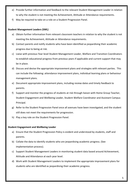- e) Provide further information and feedback to the relevant Student Management Leader in relation to why the student is not meeting the Achievement, Attitude or Attendance requirements.
- f) May be required to take on a role on a Student Progression Panel.

#### **Student Management Leaders (SML)**

- a) Obtain further information from relevant classroom teachers in relation to why the student is not meeting the Achievement, Attitude or Attendance requirements.
- b) Contact parents and notify students who have been identified as jeopardising their academic progress due to being at risk.
- c) Liaise with previous Year level Student Management Leader, Welfare and Transition Coordinators to establish educational progress from previous years if applicable and current support that may be in place.
- d) Discuss and devise the appropriate improvement plans and strategies with relevant parties. This can include the following: attendance improvement plans, individual learning plans or behaviour management plans.
- e) Document appropriate improvement plans, including review dates and timely feedback to parents.
- f) Support and monitor the progress of students at risk through liaison with Home Group Teacher, Student Engagement and Wellbeing Leader, Student Welfare Coordinator and Assistant Campus Principal.
- g) Refer to the Student Progression Panel once all avenues have been investigated, and the student still does not meet the requirements for progression.
- h) Play a key role on the Student Progression Panel.

#### **Student Engagement and Wellbeing Leader**

- a) Ensure that the Student Progression Policy is evident and understood by students, staff and parents.
- b) Collate the data to identify students who are jeopardising academic progress. (See implementation process).
- c) Support Student Management Leaders in monitoring student data based around Achievement, Attitude and Attendance at each year level.
- d) Work with Student Management Leaders to implement the appropriate improvement plans for students who are identified as jeopardising their academic progress.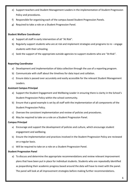- e) Support teachers and Student Management Leaders in the implementation of Student Progression Policy and procedures.
- f) Responsible for organising each of the campus based Student Progression Panels.
- g) Required to take a role on a Student Progression Panel.

#### **Student Welfare Coordinator**

- a) Support all staff in early intervention of all "At Risk".
- b) Regularly support students who are at risk and implement strategies and programs to re engage students with their schooling.
- c) Seek the support of the appropriate outside agencies to support students who are "At Risk".

#### **Reporting Coordinator**

- a) Development and implementation of data collection through the use of a reporting program.
- b) Communicate with staff about the timelines for data input and collation.
- c) Ensure data is passed over accurately and easily accessible for the relevant Student Management Leaders.

#### **Assistant Campus Principal**

- a) Support the Student Engagement and Wellbeing Leader in ensuring there is clarity in the School's Student Progression Policy within the school community.
- b) Ensure that a good example is set by all staff with the implementation of all components of the Student Progression Policy.
- c) Oversee the consistent implementation and review of policies and procedures.
- d) May be required to take on a role on a Student Progression Panel.

#### **Campus Principal**

- a) Encourage and support the development of policies and culture, which encourage student engagement and wellbeing.
- b) Ensure the implementation and practices involved in the Student Progression Policy are reviewed on a regular basis.
- c) Will be required to take on a role on a Student Progression Panel.

### **Student Progression Panel**

a) To discuss and determine the appropriate recommendations and review relevant improvement plans that have been put in place for individual students. Students who are repeatedly identified as jeopardising their academic progress based around the data will have to meet with the panel. The panel will look at all improvement strategies before making further recommendations.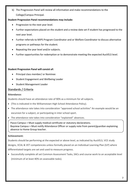b) The Progression Panel will review all information and make recommendations to the College/Campus Principal.

# **Student Progression Panel recommendations may include:**

- Progression to the next year level.
- Further expectations placed on the student and a review date set if student has progressed to the next year level.
- Further referrals to MIPS Program Coordinator and or Welfare Coordinator to discuss alternative programs or pathways for the student.
- Repeating the year level and/or subjects.
- Further opportunities for redemption or to demonstrate meeting the expected AusVELS level.

### **Student Progression Panel will consist of:**

- Principal class member/ or Nominee
- **•** Student Engagement and Wellbeing Leader
- Student Management Leader

# **Standards / Criteria**

# **Attendance:**

Students should have an attendance rate of 90% as a minimum for all subjects.

- (This is indicated in the Williamstown High School Attendance Policy).
- The attendance rate takes into consideration "approved school activities" An example would be an excursion for a subject, or participating in inter school sport.
- The attendance rate takes into consideration "explained" absences.

Pasco Campus = Must supply medical certificate or statutory declarations. Bayview Campus = Must notify Attendance Officer or supply note from parent/guardian explaining absence to Home Group teacher.

### **Achievement:**

ľ

Students should be performing at the expected or above level, as indicated by AusVELS, VCE study designs, VCAL & VET competencies unless formally placed on an Individual Learning Plan (ILP) where differentiated targets are set and used to measure progress.

• Successfully complete all set Common Assessment Tasks, SACs and course work to an acceptable level (minimum of at least 40% on assessable tasks).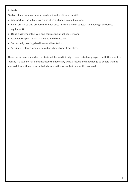# **Attitude:**

Students have demonstrated a consistent and positive work ethic.

- Approaching the subject with a positive and open minded manner.
- Being organised and prepared for each class (including being punctual and having appropriate equipment).
- Using class time effectively and completing all set course work.
- Active participant in class activities and discussions.
- Successfully meeting deadlines for all set tasks.
- Seeking assistance when required or when absent from class.

These performance standards/criteria will be used initially to assess student progress, with the intent to identify if a student has demonstrated the necessary skills, attitude and knowledge to enable them to successfully continue on with their chosen pathway, subject or specific year level.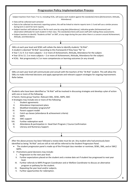# **Progression Policy Implementation Process**

Subject teachers from Years 7 to 11, including VCAL, will assess each student against the standards/criteria **(**Achievement, Attitude**,**  Attendance)

- Data will be collected each semester
- Data to be collected via electronic reporting system, this will be linked to interim reports term 1-3 and will use a similar process during term 2 and 4 for term reports.
- Subject teachers will indicate Yes or No for each area by using data (Attendance), indicative grades (Achievement) and observation (Attitude) for each student in their class. The standards/criteria will assist staff with making these assessments.
- Subject teachers to identify "Students at Risk" on SMT, at any stage during the year when there is a concern around Achievement, Attitude, and Attendance.

SMLs at each year level and SEWL will collate the data to identify students "At Risk". A student is deemed "At Risk" (according to this framework) if they have "Ns" in:

- Year 7, 8, 9: 3 or more subjects 2 or more of Achievement, Attitude**,** Attendance for the subject.
- Year 10 to 11: 2 or more subjects 2 or more of Achievement, Attitude**,** Attendance for the subject.
- VCAL: Not progressively in 2 or more competencies or learning outcomes (in any strand)

SMLs at each year level will communicate and consult with the teachers of the "At Risk" student. This will allow the SMLs to make informed decisions and apply appropriate and relevant support strategies for ongoing improvement. Refer below.

Students who have been identified as "At Risk" will be involved in discussing strategies and develop a plan of action with one or more of the following:

- Parent, Home group Teacher, Relevant SML, SEWL, MIPS, SWC
- Strategies may include one or more of the following:
- I. Student agreements
- II. Attendance Improvement plans
- III. Modified timetable/ program/ILP
- IV. Parent support model
- V. Catch up classes (attendance & achievement criteria)
- VI. MIPS
- VII. SWC support
- VIII. Further redemption work
- IX. Attendance & participation in Head Start Program / Course Confirmation
- X. Literacy and Numeracy Support.

After the above process has been followed a review date must be set. Any student who had previously been identified as being "At Risk" and are still at risk will be referred to the Student Progression Panel.

- The student progression panel is made up of the Principal class member or nominee, SEWL, SML, and or SWC/ MIPS.
- Promotions panel decisions may include:
	- I. Progression to the next year level.
	- II. Further expectations placed on the student and a review date set if student has progressed to next year level.
- III. Further referrals to MIPS Program Coordinator and or Welfare Coordinator to discuss an alternative program or pathway for the student.
- IV. Repeating the year level and/or subjects.
- V. Further opportunities for redemption.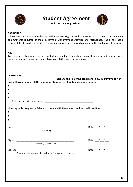

**Student Agreement** 



**Williamstown High School**

#### **RATIONALE:**

All students who are enrolled at Williamstown High School are expected to meet the academic commitments required of them in terms of Achievement, Attitude and Attendance. The School has a responsibility to guide the students in making appropriate choices to maximise the likelihood of success.

#### **AIM:**

To encourage students to review, reflect and evaluate important areas of concern and commit to an improvement plan aimed at the Achievement, Attitude and Attendance.

# **CONTRACT:**

|                                                                                                                                                                                                                                | agree to the following conditions in my Improvement Plan |
|--------------------------------------------------------------------------------------------------------------------------------------------------------------------------------------------------------------------------------|----------------------------------------------------------|
| and will work to meet all the necessary steps put in place to ensure my success.                                                                                                                                               |                                                          |
|                                                                                                                                                                                                                                |                                                          |
|                                                                                                                                                                                                                                |                                                          |
|                                                                                                                                                                                                                                |                                                          |
|                                                                                                                                                                                                                                |                                                          |
|                                                                                                                                                                                                                                |                                                          |
|                                                                                                                                                                                                                                |                                                          |
| Unacceptable progress or failure to comply with the above conditions will result in:                                                                                                                                           |                                                          |
|                                                                                                                                                                                                                                |                                                          |
|                                                                                                                                                                                                                                |                                                          |
|                                                                                                                                                                                                                                |                                                          |
|                                                                                                                                                                                                                                |                                                          |
|                                                                                                                                                                                                                                | Date: $\angle$                                           |
|                                                                                                                                                                                                                                |                                                          |
|                                                                                                                                                                                                                                |                                                          |
|                                                                                                                                                                                                                                |                                                          |
| Signed: <u>Campaigned:</u> (Parent / Guardian)                                                                                                                                                                                 | Date: $\angle$ / $\angle$                                |
|                                                                                                                                                                                                                                |                                                          |
| Signed: Signed: Signed: Signed: Signed: Signed: Signed: Signed: Signed: Signed: Signed: Signed: Signed: Signed: Signed: Signed: Signed: Signed: Signed: Signed: Signed: Signed: Signed: Signed: Signed: Signed: Signed: Signed | Date: $\angle$                                           |
| (Student Management Leader or Engagement Leader)                                                                                                                                                                               |                                                          |
|                                                                                                                                                                                                                                |                                                          |
|                                                                                                                                                                                                                                |                                                          |
|                                                                                                                                                                                                                                |                                                          |
|                                                                                                                                                                                                                                |                                                          |
|                                                                                                                                                                                                                                |                                                          |
|                                                                                                                                                                                                                                |                                                          |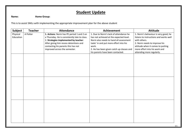# **Student Update**

**Name: Home Group:** 

This is to assist SMLs with implementing the appropriate improvement plan for the above student

| Physical<br>A Potter | 1. Actions: Norm has PE period 1 and 2 on     |                                           |                                        |
|----------------------|-----------------------------------------------|-------------------------------------------|----------------------------------------|
|                      |                                               | 1. Due to Norm's lack of attendance he    | 1. Norm's behaviour is very good; he   |
| Education            | a Thursday. He is consistently late to class. | has not achieved at the expected level.   | listens to instructions and works well |
|                      | 2. Strategies implemented by teacher:         | Norm also needs to hand all assessment    | with others.                           |
|                      | After giving him recess detentions and        | tasks' in and put more effort into his    | 2. Norm needs to improve his           |
|                      | contacting his parents this has not           | work.                                     | attitude when it comes to putting      |
|                      | improved across the semester.                 | 2. He has been given catch up classes and | more effort into his work and          |
|                      |                                               | his parents have been contacted.          | attending more regularly.              |
|                      |                                               |                                           |                                        |
|                      |                                               |                                           |                                        |
|                      |                                               |                                           |                                        |
|                      |                                               |                                           |                                        |
|                      |                                               |                                           |                                        |
|                      |                                               |                                           |                                        |
|                      |                                               |                                           |                                        |
|                      |                                               |                                           |                                        |
|                      |                                               |                                           |                                        |
|                      |                                               |                                           |                                        |
|                      |                                               |                                           |                                        |
|                      |                                               |                                           |                                        |
|                      |                                               |                                           |                                        |
|                      |                                               |                                           |                                        |
|                      |                                               |                                           |                                        |
|                      |                                               |                                           |                                        |
|                      |                                               |                                           |                                        |
|                      |                                               |                                           |                                        |
|                      |                                               |                                           |                                        |
|                      |                                               |                                           |                                        |
|                      |                                               |                                           |                                        |
|                      |                                               |                                           |                                        |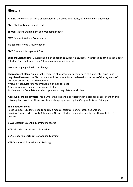# **Glossary**

**At Risk:** Concerning patterns of behaviour in the areas of attitude, attendance or achievement.

**SML:** Student Management Leader.

**SEWL:** Student Engagement and Wellbeing Leader.

**SWC:** Student Welfare Coordinator.

**HG teacher:** Home Group teacher.

**SMT:** Student Management Tool

**Support Mechanisms:** Developing a plan of action to support a student. The strategies can be seen under "students" in the Progression Policy implementation process.

**MIPS:** Managing Individual Pathways.

**Improvement plans:** A plan that is targeted at improving a specific need of a student. This is to be negotiated between the SML, student and the parent. It can be based around any of the key areas of attitude, attendance or achievement Attitude = Behaviour management plan or monitor book Attendance = Attendance improvement plan

Achievement = Complete a student update and negotiate a work plan.

**Approved school activities:** This is where the student is participating in a planned school event and will miss regular class time. These events are always approved by the Campus Assistant Principal.

### **Explained Absences:**

Pasco Campus: Students need to supply a medical certificate or statutory declaration. Bayview Campus: Must notify Attendance Officer. Students must also supply a written note to HG teacher.

**VELS:** Victorian Essential Learning Standards

**VCE:** Victorian Certificate of Education

**VCAL:** Victorian Certificate of Applied Learning

**VET:** Vocational Education and Training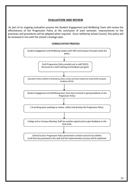# **EVALUATION AND REVIEW**

As part of an ongoing evaluation process the Student Engagement and Wellbeing Team will review the effectiveness of the Progression Policy at the conclusion of each semester. Improvements to the processes and procedures will be adapted when required. Once ratified by School Council, this policy will be reviewed in line with the school's strategic plan.

#### **CONSULTATIVE PROCESS**